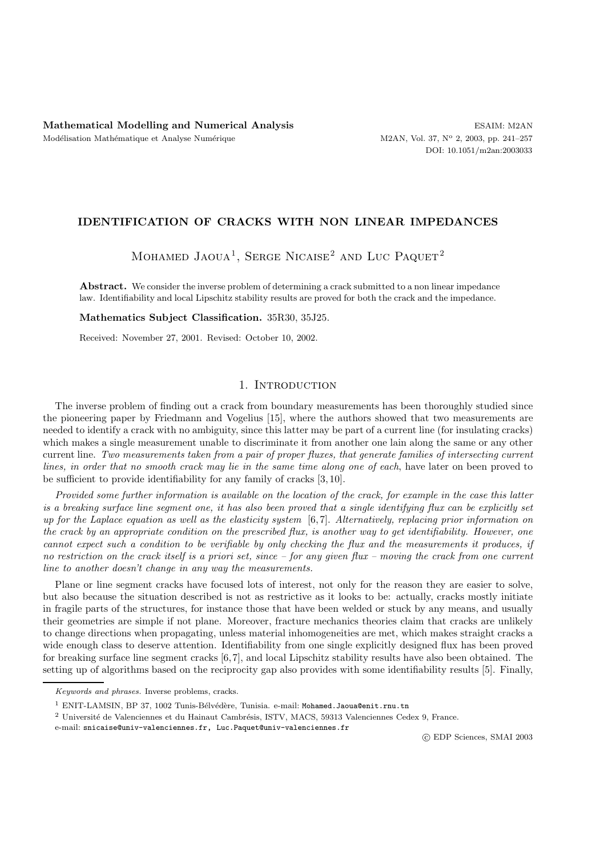# **IDENTIFICATION OF CRACKS WITH NON LINEAR IMPEDANCES**

MOHAMED JAOUA<sup>1</sup>, SERGE NICAISE<sup>2</sup> AND LUC PAQUET<sup>2</sup>

**Abstract.** We consider the inverse problem of determining a crack submitted to a non linear impedance law. Identifiability and local Lipschitz stability results are proved for both the crack and the impedance.

**Mathematics Subject Classification.** 35R30, 35J25.

Received: November 27, 2001. Revised: October 10, 2002.

# 1. INTRODUCTION

The inverse problem of finding out a crack from boundary measurements has been thoroughly studied since the pioneering paper by Friedmann and Vogelius [15], where the authors showed that two measurements are needed to identify a crack with no ambiguity, since this latter may be part of a current line (for insulating cracks) which makes a single measurement unable to discriminate it from another one lain along the same or any other current line. *Two measurements taken from a pair of proper fluxes, that generate families of intersecting current lines, in order that no smooth crack may lie in the same time along one of each*, have later on been proved to be sufficient to provide identifiability for any family of cracks [3, 10].

*Provided some further information is available on the location of the crack, for example in the case this latter is a breaking surface line segment one, it has also been proved that a single identifying flux can be explicitly set up for the Laplace equation as well as the elasticity system* [6, 7]. *Alternatively, replacing prior information on the crack by an appropriate condition on the prescribed flux, is another way to get identifiability. However, one cannot expect such a condition to be verifiable by only checking the flux and the measurements it produces, if no restriction on the crack itself is a priori set, since – for any given flux – moving the crack from one current line to another doesn't change in any way the measurements.*

Plane or line segment cracks have focused lots of interest, not only for the reason they are easier to solve, but also because the situation described is not as restrictive as it looks to be: actually, cracks mostly initiate in fragile parts of the structures, for instance those that have been welded or stuck by any means, and usually their geometries are simple if not plane. Moreover, fracture mechanics theories claim that cracks are unlikely to change directions when propagating, unless material inhomogeneities are met, which makes straight cracks a wide enough class to deserve attention. Identifiability from one single explicitly designed flux has been proved for breaking surface line segment cracks [6,7], and local Lipschitz stability results have also been obtained. The setting up of algorithms based on the reciprocity gap also provides with some identifiability results [5]. Finally,

c EDP Sciences, SMAI 2003

*Keywords and phrases.* Inverse problems, cracks.

<sup>&</sup>lt;sup>1</sup> ENIT-LAMSIN, BP 37, 1002 Tunis-Bélvédère, Tunisia. e-mail: Mohamed.Jaoua@enit.rnu.tn

 $^2$ Université de Valenciennes et du Hainaut Cambrésis, ISTV, MACS, 59313 Valenciennes Cedex 9, France.

e-mail: snicaise@univ-valenciennes.fr, Luc.Paquet@univ-valenciennes.fr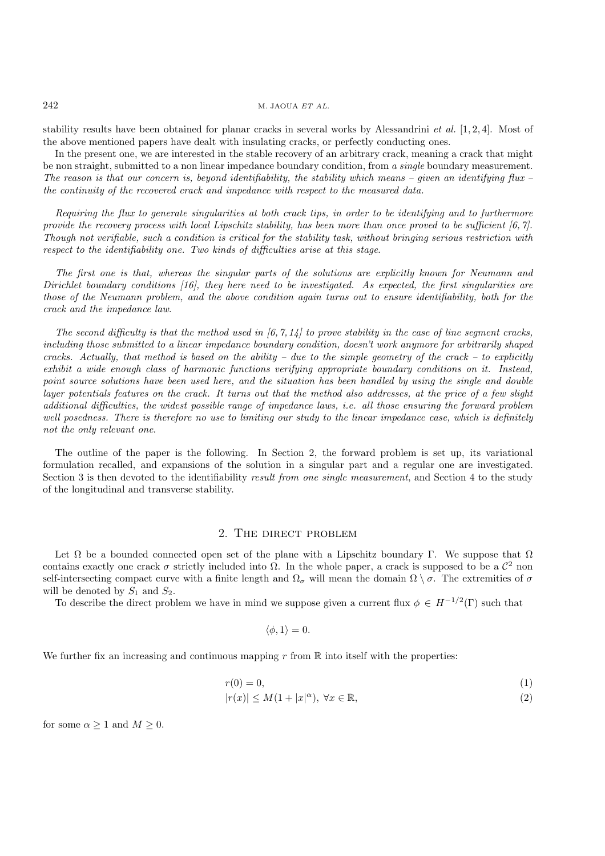stability results have been obtained for planar cracks in several works by Alessandrini *et al.* [1, 2, 4]. Most of the above mentioned papers have dealt with insulating cracks, or perfectly conducting ones.

In the present one, we are interested in the stable recovery of an arbitrary crack, meaning a crack that might be non straight, submitted to a non linear impedance boundary condition, from *a single* boundary measurement. *The reason is that our concern is, beyond identifiability, the stability which means – given an identifying flux – the continuity of the recovered crack and impedance with respect to the measured data.*

*Requiring the flux to generate singularities at both crack tips, in order to be identifying and to furthermore provide the recovery process with local Lipschitz stability, has been more than once proved to be sufficient [6, 7]. Though not verifiable, such a condition is critical for the stability task, without bringing serious restriction with respect to the identifiability one. Two kinds of difficulties arise at this stage*.

*The first one is that, whereas the singular parts of the solutions are explicitly known for Neumann and Dirichlet boundary conditions [16], they here need to be investigated. As expected, the first singularities are those of the Neumann problem, and the above condition again turns out to ensure identifiability, both for the crack and the impedance law*.

*The second difficulty is that the method used in [6, 7, 14] to prove stability in the case of line segment cracks, including those submitted to a linear impedance boundary condition, doesn't work anymore for arbitrarily shaped cracks. Actually, that method is based on the ability – due to the simple geometry of the crack – to explicitly exhibit a wide enough class of harmonic functions verifying appropriate boundary conditions on it. Instead, point source solutions have been used here, and the situation has been handled by using the single and double layer potentials features on the crack. It turns out that the method also addresses, at the price of a few slight additional difficulties, the widest possible range of impedance laws, i.e. all those ensuring the forward problem* well posedness. There is therefore no use to limiting our study to the linear impedance case, which is definitely *not the only relevant one*.

The outline of the paper is the following. In Section 2, the forward problem is set up, its variational formulation recalled, and expansions of the solution in a singular part and a regular one are investigated. Section 3 is then devoted to the identifiability *result from one single measurement*, and Section 4 to the study of the longitudinal and transverse stability.

# 2. The direct problem

Let  $\Omega$  be a bounded connected open set of the plane with a Lipschitz boundary Γ. We suppose that  $\Omega$ contains exactly one crack  $\sigma$  strictly included into  $\Omega$ . In the whole paper, a crack is supposed to be a  $\mathcal{C}^2$  non self-intersecting compact curve with a finite length and  $\Omega_{\sigma}$  will mean the domain  $\Omega \setminus \sigma$ . The extremities of  $\sigma$ will be denoted by  $S_1$  and  $S_2$ .

To describe the direct problem we have in mind we suppose given a current flux  $\phi \in H^{-1/2}(\Gamma)$  such that

$$
\langle \phi, 1 \rangle = 0.
$$

We further fix an increasing and continuous mapping r from  $\mathbb R$  into itself with the properties:

$$
r(0) = 0,\tag{1}
$$

$$
|r(x)| \le M(1+|x|^{\alpha}), \ \forall x \in \mathbb{R}, \tag{2}
$$

for some  $\alpha \geq 1$  and  $M \geq 0$ .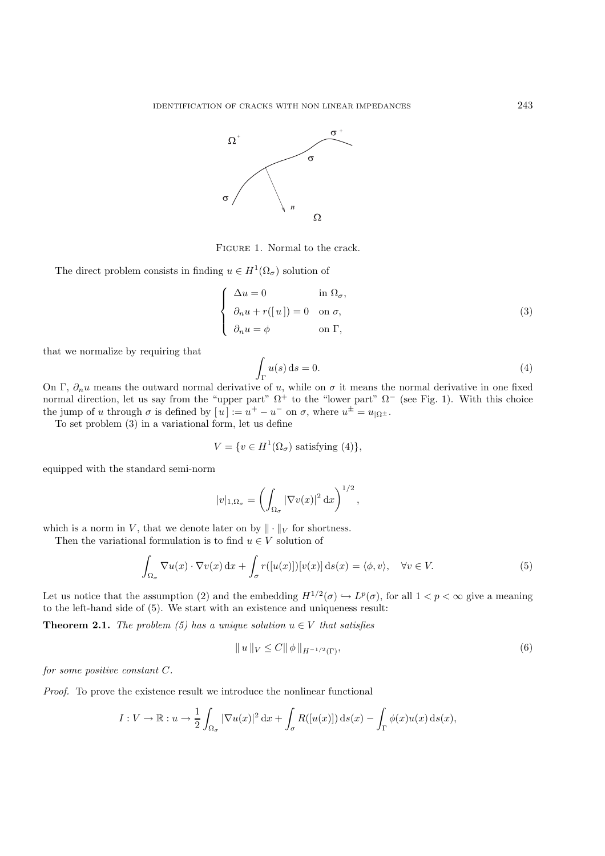

Figure 1. Normal to the crack.

The direct problem consists in finding  $u \in H^1(\Omega_\sigma)$  solution of

$$
\begin{cases}\n\Delta u = 0 & \text{in } \Omega_{\sigma}, \\
\partial_n u + r([u]) = 0 & \text{on } \sigma, \\
\partial_n u = \phi & \text{on } \Gamma,\n\end{cases}
$$
\n(3)

that we normalize by requiring that

$$
\int_{\Gamma} u(s) \, \mathrm{d}s = 0. \tag{4}
$$

On Γ,  $\partial_n u$  means the outward normal derivative of u, while on  $\sigma$  it means the normal derivative in one fixed normal direction, let us say from the "upper part"  $\Omega^+$  to the "lower part"  $\Omega^-$  (see Fig. 1). With this choice the jump of u through  $\sigma$  is defined by  $[u] := u^+ - u^-$  on  $\sigma$ , where  $u^{\pm} = u_{\Omega^{\pm}}$ .

To set problem (3) in a variational form, let us define

$$
V = \{ v \in H^1(\Omega_{\sigma}) \text{ satisfying (4)} \},
$$

equipped with the standard semi-norm

$$
|v|_{1,\Omega_{\sigma}} = \left(\int_{\Omega_{\sigma}} |\nabla v(x)|^2 dx\right)^{1/2},\,
$$

which is a norm in V, that we denote later on by  $\|\cdot\|_V$  for shortness.

Then the variational formulation is to find  $u \in V$  solution of

$$
\int_{\Omega_{\sigma}} \nabla u(x) \cdot \nabla v(x) dx + \int_{\sigma} r([u(x)]][v(x)] ds(x) = \langle \phi, v \rangle, \quad \forall v \in V.
$$
\n(5)

Let us notice that the assumption (2) and the embedding  $H^{1/2}(\sigma) \hookrightarrow L^p(\sigma)$ , for all  $1 < p < \infty$  give a meaning to the left-hand side of (5). We start with an existence and uniqueness result:

**Theorem 2.1.** *The problem (5) has a unique solution*  $u \in V$  *that satisfies* 

$$
||u||_{V} \leq C||\phi||_{H^{-1/2}(\Gamma)},
$$
\n(6)

*for some positive constant* C*.*

*Proof.* To prove the existence result we introduce the nonlinear functional

$$
I: V \to \mathbb{R}: u \to \frac{1}{2} \int_{\Omega_{\sigma}} |\nabla u(x)|^2 dx + \int_{\sigma} R([u(x)]) ds(x) - \int_{\Gamma} \phi(x)u(x) ds(x),
$$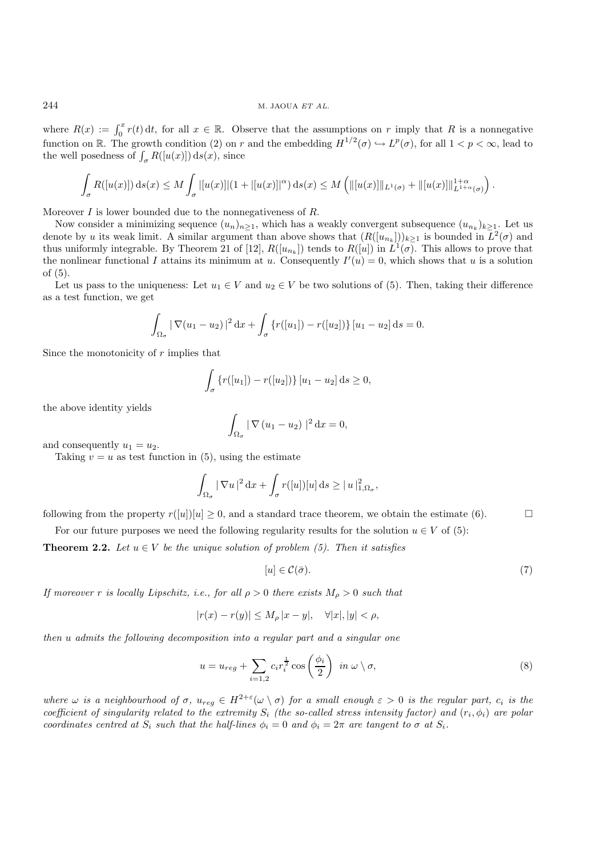where  $R(x) := \int_0^x r(t) dt$ , for all  $x \in \mathbb{R}$ . Observe that the assumptions on r imply that R is a nonnegative function on R. The growth condition (2) on r and the embedding  $H^{1/2}(\sigma) \hookrightarrow L^p(\sigma)$ , for all  $1 < p < \infty$ , lead to the well posedness of  $\int_{\sigma} R([u(x)]) ds(x)$ , since

$$
\int_{\sigma} R([u(x)]) \, ds(x) \leq M \int_{\sigma} |[u(x)]|(1+|[u(x)]|^{\alpha}) \, ds(x) \leq M \left( ||[u(x)]||_{L^{1}(\sigma)} + ||[u(x)]||_{L^{1+\alpha}(\sigma)}^{1+\alpha} \right).
$$

Moreover  $I$  is lower bounded due to the nonnegativeness of  $R$ .

Now consider a minimizing sequence  $(u_n)_{n\geq 1}$ , which has a weakly convergent subsequence  $(u_{n_k})_{k\geq 1}$ . Let us denote by u its weak limit. A similar argument than above shows that  $(R([u_{n_k}]))_{k\geq 1}$  is bounded in  $L^2(\sigma)$  and thus uniformly integrable. By Theorem 21 of [12],  $R([u_{n_k}])$  tends to  $R([u])$  in  $L^1(\sigma)$ . This allows to prove that the nonlinear functional I attains its minimum at u. Consequently  $I'(u) = 0$ , which shows that u is a solution of (5).

Let us pass to the uniqueness: Let  $u_1 \in V$  and  $u_2 \in V$  be two solutions of (5). Then, taking their difference as a test function, we get

$$
\int_{\Omega_{\sigma}} |\nabla (u_1 - u_2)|^2 dx + \int_{\sigma} \{r([u_1]) - r([u_2])\} [u_1 - u_2] ds = 0.
$$

Since the monotonicity of  $r$  implies that

$$
\int_{\sigma} \left\{ r([u_1]) - r([u_2]) \right\} [u_1 - u_2] \, \mathrm{d}s \ge 0,
$$

the above identity yields

$$
\int_{\Omega_{\sigma}} |\nabla (u_1 - u_2)|^2 dx = 0,
$$

and consequently  $u_1 = u_2$ .

Taking  $v = u$  as test function in (5), using the estimate

$$
\int_{\Omega_{\sigma}} |\nabla u|^2 \,dx + \int_{\sigma} r([u])[u] \,ds \geq |u|^2_{1,\Omega_{\sigma}},
$$

following from the property  $r([u])[u]\geq 0$ , and a standard trace theorem, we obtain the estimate (6).

For our future purposes we need the following regularity results for the solution  $u \in V$  of (5):

**Theorem 2.2.** *Let*  $u \in V$  *be the unique solution of problem (5). Then it satisfies* 

$$
[u] \in \mathcal{C}(\bar{\sigma}).\tag{7}
$$

*If moreover r is locally Lipschitz, i.e., for all*  $\rho > 0$  *there exists*  $M_{\rho} > 0$  *such that* 

$$
|r(x) - r(y)| \le M_{\rho} |x - y|, \quad \forall |x|, |y| < \rho,
$$

*then* u *admits the following decomposition into a regular part and a singular one*

$$
u = u_{reg} + \sum_{i=1,2} c_i r_i^{\frac{1}{2}} \cos\left(\frac{\phi_i}{2}\right) \text{ in } \omega \setminus \sigma,
$$
\n
$$
(8)
$$

*where*  $\omega$  *is a neighbourhood of*  $\sigma$ ,  $u_{reg} \in H^{2+\epsilon}(\omega \setminus \sigma)$  *for a small enough*  $\epsilon > 0$  *is the regular part,*  $c_i$  *is the coefficient of singularity related to the extremity*  $S_i$  *(the so-called stress intensity factor) and*  $(r_i, \phi_i)$  *are polar coordinates centred at*  $S_i$  *such that the half-lines*  $\phi_i = 0$  *and*  $\phi_i = 2\pi$  *are tangent to*  $\sigma$  *at*  $S_i$ *.*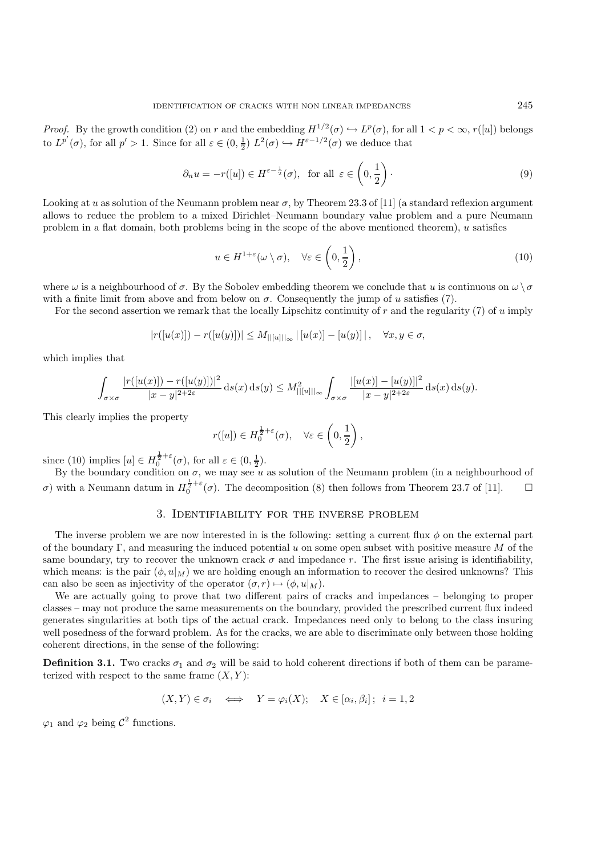*Proof.* By the growth condition (2) on r and the embedding  $H^{1/2}(\sigma) \hookrightarrow L^p(\sigma)$ , for all  $1 < p < \infty$ , r([u]) belongs to  $L^{p'}(\sigma)$ , for all  $p' > 1$ . Since for all  $\varepsilon \in (0, \frac{1}{2})$   $L^2(\sigma) \hookrightarrow H^{\varepsilon - 1/2}(\sigma)$  we deduce that

$$
\partial_n u = -r([u]) \in H^{\varepsilon - \frac{1}{2}}(\sigma), \text{ for all } \varepsilon \in \left(0, \frac{1}{2}\right). \tag{9}
$$

Looking at u as solution of the Neumann problem near  $\sigma$ , by Theorem 23.3 of [11] (a standard reflexion argument allows to reduce the problem to a mixed Dirichlet–Neumann boundary value problem and a pure Neumann problem in a flat domain, both problems being in the scope of the above mentioned theorem),  $u$  satisfies

$$
u \in H^{1+\varepsilon}(\omega \setminus \sigma), \quad \forall \varepsilon \in \left(0, \frac{1}{2}\right), \tag{10}
$$

where  $\omega$  is a neighbourhood of  $\sigma$ . By the Sobolev embedding theorem we conclude that u is continuous on  $\omega \setminus \sigma$ with a finite limit from above and from below on  $\sigma$ . Consequently the jump of u satisfies (7).

For the second assertion we remark that the locally Lipschitz continuity of r and the regularity (7) of u imply

$$
|r([u(x)]) - r([u(y)])| \le M_{||[u]||_{\infty}} |[u(x)] - [u(y)]|, \quad \forall x, y \in \sigma,
$$

which implies that

$$
\int_{\sigma \times \sigma} \frac{|r([u(x)]) - r([u(y)])|^2}{|x - y|^{2 + 2\varepsilon}} \, ds(x) \, ds(y) \leq M_{||[u]||_{\infty}}^2 \int_{\sigma \times \sigma} \frac{|[u(x)] - [u(y)]|^2}{|x - y|^{2 + 2\varepsilon}} \, ds(x) \, ds(y).
$$

This clearly implies the property

$$
r([u]) \in H_0^{\frac{1}{2}+\varepsilon}(\sigma), \quad \forall \varepsilon \in \left(0, \frac{1}{2}\right),
$$

since (10) implies  $[u] \in H_0^{\frac{1}{2}+\varepsilon}(\sigma)$ , for all  $\varepsilon \in (0, \frac{1}{2})$ .

By the boundary condition on  $\sigma$ , we may see u as solution of the Neumann problem (in a neighbourhood of σ) with a Neumann datum in  $H_0^{\frac{1}{2}+\varepsilon}$  (σ). The decomposition (8) then follows from Theorem 23.7 of [11]. □

# 3. Identifiability for the inverse problem

The inverse problem we are now interested in is the following: setting a current flux  $\phi$  on the external part of the boundary Γ, and measuring the induced potential u on some open subset with positive measure M of the same boundary, try to recover the unknown crack  $\sigma$  and impedance r. The first issue arising is identifiability, which means: is the pair  $(\phi, u|_M)$  we are holding enough an information to recover the desired unknowns? This can also be seen as injectivity of the operator  $(\sigma, r) \mapsto (\phi, u|_M)$ .

We are actually going to prove that two different pairs of cracks and impedances – belonging to proper classes – may not produce the same measurements on the boundary, provided the prescribed current flux indeed generates singularities at both tips of the actual crack. Impedances need only to belong to the class insuring well posedness of the forward problem. As for the cracks, we are able to discriminate only between those holding coherent directions, in the sense of the following:

**Definition 3.1.** Two cracks  $\sigma_1$  and  $\sigma_2$  will be said to hold coherent directions if both of them can be parameterized with respect to the same frame  $(X, Y)$ :

$$
(X,Y) \in \sigma_i \iff Y = \varphi_i(X); \quad X \in [\alpha_i, \beta_i]; \quad i = 1, 2
$$

 $\varphi_1$  and  $\varphi_2$  being  $\mathcal{C}^2$  functions.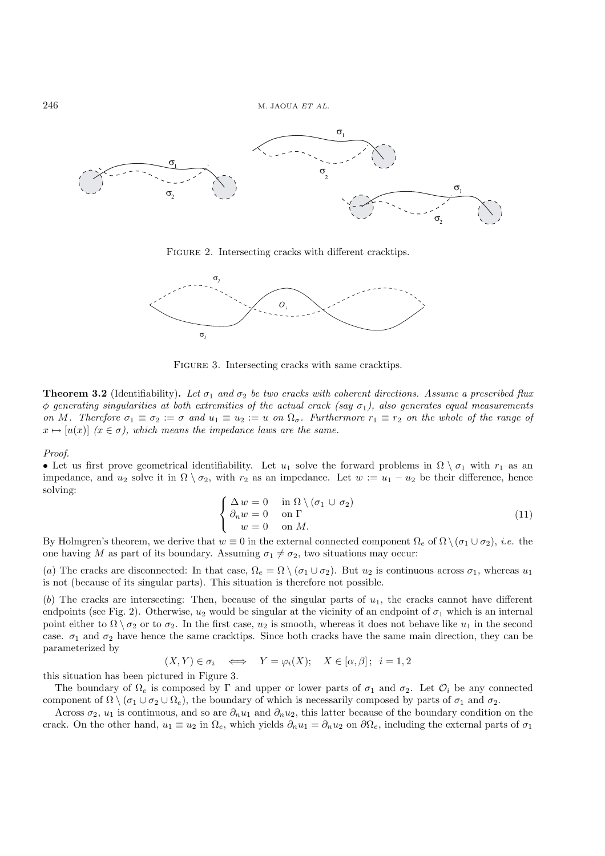

FIGURE 2. Intersecting cracks with different cracktips.



FIGURE 3. Intersecting cracks with same cracktips.

**Theorem 3.2** (Identifiability). Let  $\sigma_1$  and  $\sigma_2$  be two cracks with coherent directions. Assume a prescribed flux  $\phi$  generating singularities at both extremities of the actual crack (say  $\sigma_1$ ), also generates equal measurements *on* M. Therefore  $\sigma_1 \equiv \sigma_2 := \sigma$  and  $u_1 \equiv u_2 := u$  on  $\Omega_{\sigma}$ . Furthermore  $r_1 \equiv r_2$  on the whole of the range of  $x \mapsto [u(x)]$   $(x \in \sigma)$ , which means the impedance laws are the same.

*Proof.*

• Let us first prove geometrical identifiability. Let  $u_1$  solve the forward problems in  $\Omega \setminus \sigma_1$  with  $r_1$  as an impedance, and  $u_2$  solve it in  $\Omega \setminus \sigma_2$ , with  $r_2$  as an impedance. Let  $w := u_1 - u_2$  be their difference, hence solving:

$$
\begin{cases}\n\Delta w = 0 & \text{in } \Omega \setminus (\sigma_1 \cup \sigma_2) \\
\partial_n w = 0 & \text{on } \Gamma \\
w = 0 & \text{on } M.\n\end{cases} \tag{11}
$$

By Holmgren's theorem, we derive that  $w \equiv 0$  in the external connected component  $\Omega_e$  of  $\Omega \setminus (\sigma_1 \cup \sigma_2)$ , *i.e.* the one having M as part of its boundary. Assuming  $\sigma_1 \neq \sigma_2$ , two situations may occur:

(a) The cracks are disconnected: In that case,  $\Omega_e = \Omega \setminus (\sigma_1 \cup \sigma_2)$ . But  $u_2$  is continuous across  $\sigma_1$ , whereas  $u_1$ is not (because of its singular parts). This situation is therefore not possible.

(b) The cracks are intersecting: Then, because of the singular parts of  $u_1$ , the cracks cannot have different endpoints (see Fig. 2). Otherwise,  $u_2$  would be singular at the vicinity of an endpoint of  $\sigma_1$  which is an internal point either to  $\Omega \setminus \sigma_2$  or to  $\sigma_2$ . In the first case,  $u_2$  is smooth, whereas it does not behave like  $u_1$  in the second case.  $\sigma_1$  and  $\sigma_2$  have hence the same cracktips. Since both cracks have the same main direction, they can be parameterized by

$$
(X,Y) \in \sigma_i \iff Y = \varphi_i(X); \quad X \in [\alpha, \beta]; \quad i = 1, 2
$$

this situation has been pictured in Figure 3.

The boundary of  $\Omega_e$  is composed by Γ and upper or lower parts of  $\sigma_1$  and  $\sigma_2$ . Let  $\mathcal{O}_i$  be any connected component of  $\Omega \setminus (\sigma_1 \cup \sigma_2 \cup \Omega_e)$ , the boundary of which is necessarily composed by parts of  $\sigma_1$  and  $\sigma_2$ .

Across  $\sigma_2$ ,  $u_1$  is continuous, and so are  $\partial_n u_1$  and  $\partial_n u_2$ , this latter because of the boundary condition on the crack. On the other hand,  $u_1 \equiv u_2$  in  $\Omega_e$ , which yields  $\partial_n u_1 = \partial_n u_2$  on  $\partial \Omega_e$ , including the external parts of  $\sigma_1$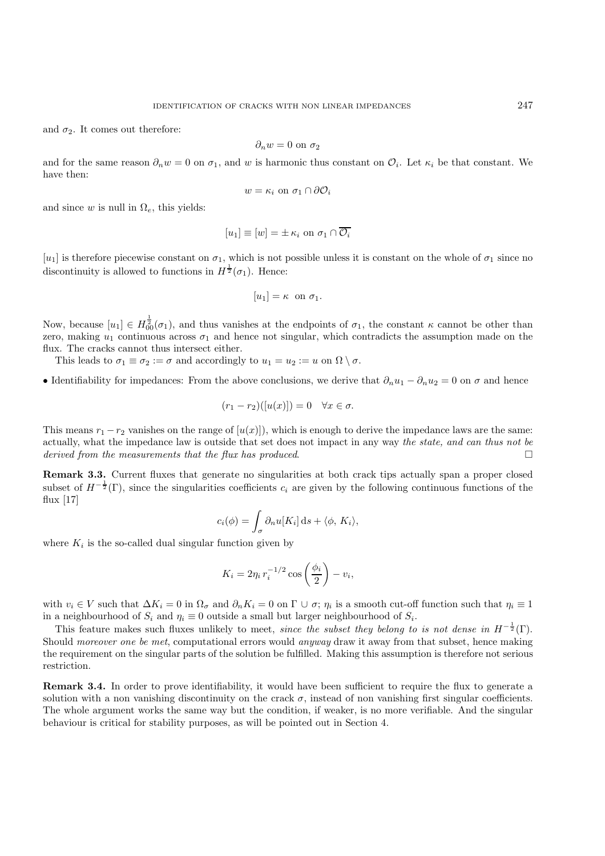and  $\sigma_2$ . It comes out therefore:

$$
\partial_n w = 0 \text{ on } \sigma_2
$$

and for the same reason  $\partial_n w = 0$  on  $\sigma_1$ , and w is harmonic thus constant on  $\mathcal{O}_i$ . Let  $\kappa_i$  be that constant. We have then:

$$
w = \kappa_i \text{ on } \sigma_1 \cap \partial \mathcal{O}_i
$$

and since w is null in  $\Omega_e$ , this yields:

$$
[u_1] \equiv [w] = \pm \kappa_i \text{ on } \sigma_1 \cap \overline{\mathcal{O}_i}
$$

[u<sub>1</sub>] is therefore piecewise constant on  $\sigma_1$ , which is not possible unless it is constant on the whole of  $\sigma_1$  since no discontinuity is allowed to functions in  $H^{\frac{1}{2}}(\sigma_1)$ . Hence:

$$
[u_1] = \kappa \text{ on } \sigma_1.
$$

Now, because  $[u_1] \in H^{\frac{1}{2}}_{00}(\sigma_1)$ , and thus vanishes at the endpoints of  $\sigma_1$ , the constant  $\kappa$  cannot be other than zero, making  $u_1$  continuous across  $\sigma_1$  and hence not singular, which contradicts the assumption made on the flux. The cracks cannot thus intersect either.

This leads to  $\sigma_1 \equiv \sigma_2 := \sigma$  and accordingly to  $u_1 = u_2 := u$  on  $\Omega \setminus \sigma$ .

• Identifiability for impedances: From the above conclusions, we derive that  $\partial_n u_1 - \partial_n u_2 = 0$  on  $\sigma$  and hence

$$
(r_1 - r_2)([u(x)]) = 0 \quad \forall x \in \sigma.
$$

This means  $r_1 - r_2$  vanishes on the range of  $[u(x)]$ , which is enough to derive the impedance laws are the same: actually, what the impedance law is outside that set does not impact in any way *the state, and can thus not be derived from the measurements that the flux has produced*.

**Remark 3.3.** Current fluxes that generate no singularities at both crack tips actually span a proper closed subset of  $H^{-\frac{1}{2}}(\Gamma)$ , since the singularities coefficients  $c_i$  are given by the following continuous functions of the flux [17]

$$
c_i(\phi) = \int_{\sigma} \partial_n u[K_i] \, \mathrm{d} s + \langle \phi, K_i \rangle,
$$

where  $K_i$  is the so-called dual singular function given by

$$
K_i = 2\eta_i r_i^{-1/2} \cos\left(\frac{\phi_i}{2}\right) - v_i,
$$

with  $v_i \in V$  such that  $\Delta K_i = 0$  in  $\Omega_{\sigma}$  and  $\partial_n K_i = 0$  on  $\Gamma \cup \sigma$ ;  $\eta_i$  is a smooth cut-off function such that  $\eta_i \equiv 1$ in a neighbourhood of  $S_i$  and  $\eta_i \equiv 0$  outside a small but larger neighbourhood of  $S_i$ .

This feature makes such fluxes unlikely to meet, *since the subset they belong to is not dense in*  $H^{-\frac{1}{2}}(\Gamma)$ . Should *moreover one be met*, computational errors would *anyway* draw it away from that subset, hence making the requirement on the singular parts of the solution be fulfilled. Making this assumption is therefore not serious restriction.

**Remark 3.4.** In order to prove identifiability, it would have been sufficient to require the flux to generate a solution with a non vanishing discontinuity on the crack  $\sigma$ , instead of non vanishing first singular coefficients. The whole argument works the same way but the condition, if weaker, is no more verifiable. And the singular behaviour is critical for stability purposes, as will be pointed out in Section 4.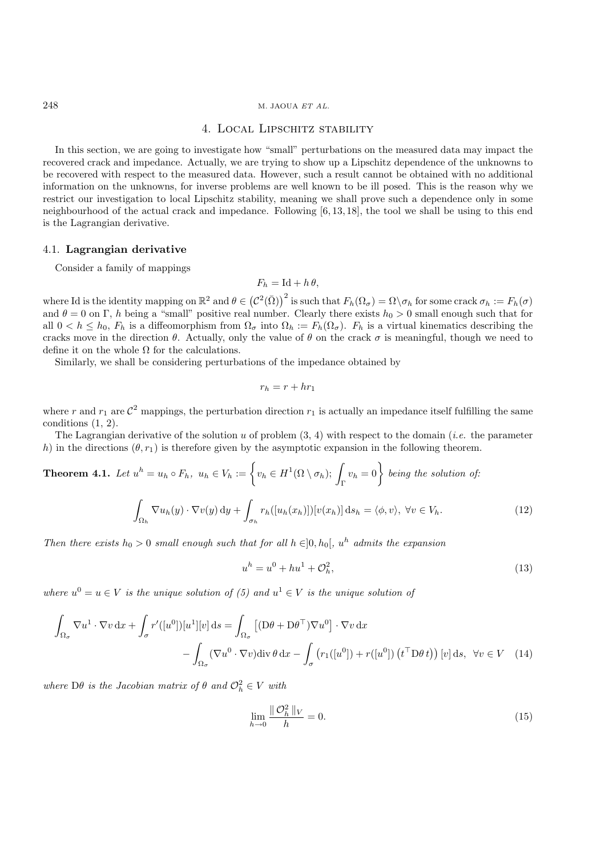# 4. Local Lipschitz stability

In this section, we are going to investigate how "small" perturbations on the measured data may impact the recovered crack and impedance. Actually, we are trying to show up a Lipschitz dependence of the unknowns to be recovered with respect to the measured data. However, such a result cannot be obtained with no additional information on the unknowns, for inverse problems are well known to be ill posed. This is the reason why we restrict our investigation to local Lipschitz stability, meaning we shall prove such a dependence only in some neighbourhood of the actual crack and impedance. Following [6, 13, 18], the tool we shall be using to this end is the Lagrangian derivative.

### 4.1. **Lagrangian derivative**

Consider a family of mappings

 $F_h = \mathrm{Id} + h \theta$ ,

where Id is the identity mapping on  $\mathbb{R}^2$  and  $\theta \in (\mathcal{C}^2(\bar{\Omega}))^2$  is such that  $F_h(\Omega_{\sigma}) = \Omega \setminus \sigma_h$  for some crack  $\sigma_h := F_h(\sigma)$ <br>and  $\theta = 0$  on  $\Gamma$ , h being a "small" positive real number. Clearly there exists  $h_0 >$ all  $0 < h \le h_0$ ,  $F_h$  is a diffeomorphism from  $\Omega_{\sigma}$  into  $\Omega_h := F_h(\Omega_{\sigma})$ .  $F_h$  is a virtual kinematics describing the cracks move in the direction  $\theta$ . Actually, only the value of  $\theta$  on the crack  $\sigma$  is meaningful, though we need to define it on the whole  $\Omega$  for the calculations.

Similarly, we shall be considering perturbations of the impedance obtained by

$$
r_h = r + hr_1
$$

where r and  $r_1$  are  $\mathcal{C}^2$  mappings, the perturbation direction  $r_1$  is actually an impedance itself fulfilling the same conditions (1, 2).

The Lagrangian derivative of the solution u of problem (3, 4) with respect to the domain (*i.e.* the parameter h) in the directions  $(\theta, r_1)$  is therefore given by the asymptotic expansion in the following theorem.

**Theorem 4.1.** Let 
$$
u^h = u_h \circ F_h
$$
,  $u_h \in V_h := \left\{ v_h \in H^1(\Omega \setminus \sigma_h); \int_{\Gamma} v_h = 0 \right\}$  being the solution of:  

$$
\int_{\Omega_h} \nabla u_h(y) \cdot \nabla v(y) dy + \int_{\sigma_h} r_h([u_h(x_h)]) [v(x_h)] ds_h = \langle \phi, v \rangle, \forall v \in V_h.
$$
 (12)

*Then there exists*  $h_0 > 0$  *small enough such that for all*  $h \in ]0, h_0[, u^h$  *admits the expansion* 

$$
u^{h} = u^{0} + hu^{1} + \mathcal{O}_{h}^{2}, \tag{13}
$$

*where*  $u^0 = u \in V$  *is the unique solution of* (5) and  $u^1 \in V$  *is the unique solution of* 

$$
\int_{\Omega_{\sigma}} \nabla u^{1} \cdot \nabla v \, dx + \int_{\sigma} r'([u^{0}])[u^{1}][v] \, ds = \int_{\Omega_{\sigma}} \left[ (D\theta + D\theta^{\top})\nabla u^{0} \right] \cdot \nabla v \, dx
$$
\n
$$
- \int_{\Omega_{\sigma}} (\nabla u^{0} \cdot \nabla v) \, \text{div}\, \theta \, dx - \int_{\sigma} \left( r_{1}([u^{0}]) + r([u^{0}]) \left( t^{\top} D\theta t \right) \right) [v] \, ds, \ \forall v \in V \quad (14)
$$

 $where \,\,\mathrm{D}\theta$  *is the Jacobian matrix of*  $\theta$  *and*  $\mathcal{O}_h^2 \in V$  *with* 

$$
\lim_{h \to 0} \frac{\|\mathcal{O}_h^2\|_V}{h} = 0.
$$
\n(15)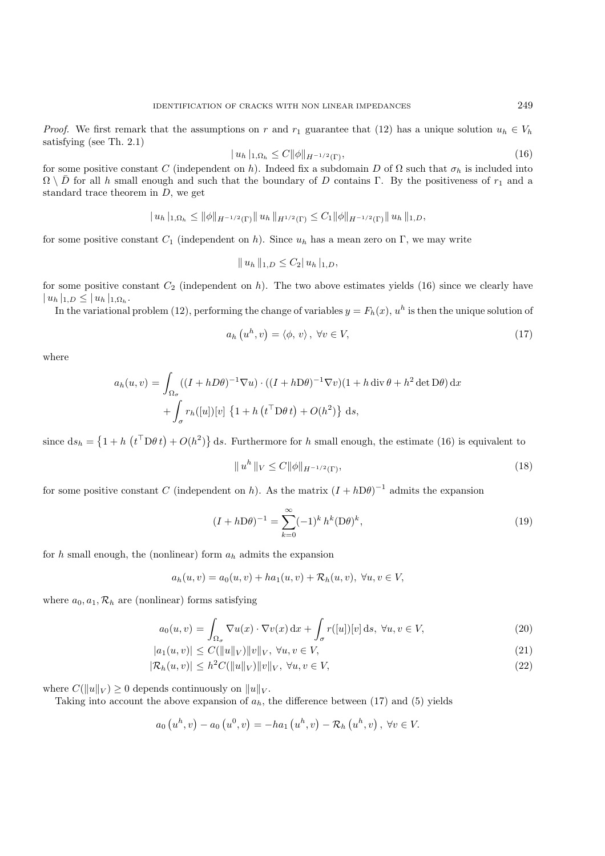$$
|u_h|_{1,\Omega_h} \le C \|\phi\|_{H^{-1/2}(\Gamma)},\tag{16}
$$

for some positive constant C (independent on h). Indeed fix a subdomain D of  $\Omega$  such that  $\sigma_h$  is included into  $\Omega \setminus \overline{D}$  for all h graph and such that the haundary of D sections  $\overline{D}$ . By the positive set  $\overline{$  $\Omega \setminus \overline{D}$  for all h small enough and such that the boundary of D contains Γ. By the positiveness of  $r_1$  and a standard trace theorem in  $D$ , we get

$$
| u_h |_{1,\Omega_h} \leq || \phi ||_{H^{-1/2}(\Gamma)} || u_h ||_{H^{1/2}(\Gamma)} \leq C_1 || \phi ||_{H^{-1/2}(\Gamma)} || u_h ||_{1,D},
$$

for some positive constant  $C_1$  (independent on h). Since  $u_h$  has a mean zero on Γ, we may write

$$
|| u_h ||_{1,D} \leq C_2 || u_h ||_{1,D},
$$

for some positive constant  $C_2$  (independent on h). The two above estimates yields (16) since we clearly have  $| u_h |_{1,D} \leq | u_h |_{1,\Omega_h}.$ 

In the variational problem (12), performing the change of variables  $y = F_h(x)$ ,  $u^h$  is then the unique solution of

$$
a_h\left(u^h,v\right) = \langle \phi,v \rangle, \ \forall v \in V,\tag{17}
$$

where

$$
a_h(u, v) = \int_{\Omega_{\sigma}} ((I + hD\theta)^{-1} \nabla u) \cdot ((I + hD\theta)^{-1} \nabla v)(1 + h \operatorname{div} \theta + h^2 \operatorname{det} D\theta) dx
$$

$$
+ \int_{\sigma} r_h([u])[v] \left\{1 + h(t^{\top} D\theta t) + O(h^2)\right\} ds,
$$

since  $ds_h = \left\{1 + h\left(t^{\top}D\theta t\right) + O(h^2)\right\}$  ds. Furthermore for h small enough, the estimate (16) is equivalent to

$$
||u^h||_V \le C ||\phi||_{H^{-1/2}(\Gamma)},
$$
\n(18)

for some positive constant C (independent on h). As the matrix  $(I + h\mathrm{D}\theta)^{-1}$  admits the expansion

$$
(I + h\mathcal{D}\theta)^{-1} = \sum_{k=0}^{\infty} (-1)^k h^k (\mathcal{D}\theta)^k,
$$
\n(19)

for h small enough, the (nonlinear) form  $a_h$  admits the expansion

$$
a_h(u, v) = a_0(u, v) + ha_1(u, v) + \mathcal{R}_h(u, v), \ \forall u, v \in V,
$$

where  $a_0, a_1, \mathcal{R}_h$  are (nonlinear) forms satisfying

$$
a_0(u,v) = \int_{\Omega_{\sigma}} \nabla u(x) \cdot \nabla v(x) dx + \int_{\sigma} r([u])[v] ds, \ \forall u, v \in V,
$$
\n(20)

$$
|a_1(u,v)| \le C(||u||_V) ||v||_V, \ \forall u, v \in V,
$$
\n(21)

$$
|\mathcal{R}_h(u,v)| \le h^2 C(||u||_V) ||v||_V, \ \forall u, v \in V,
$$
\n
$$
(22)
$$

where  $C(||u||_V) \geq 0$  depends continuously on  $||u||_V$ .

Taking into account the above expansion of  $a_h$ , the difference between (17) and (5) yields

$$
a_0(u^h, v) - a_0(u^0, v) = -ha_1(u^h, v) - \mathcal{R}_h(u^h, v), \ \forall v \in V.
$$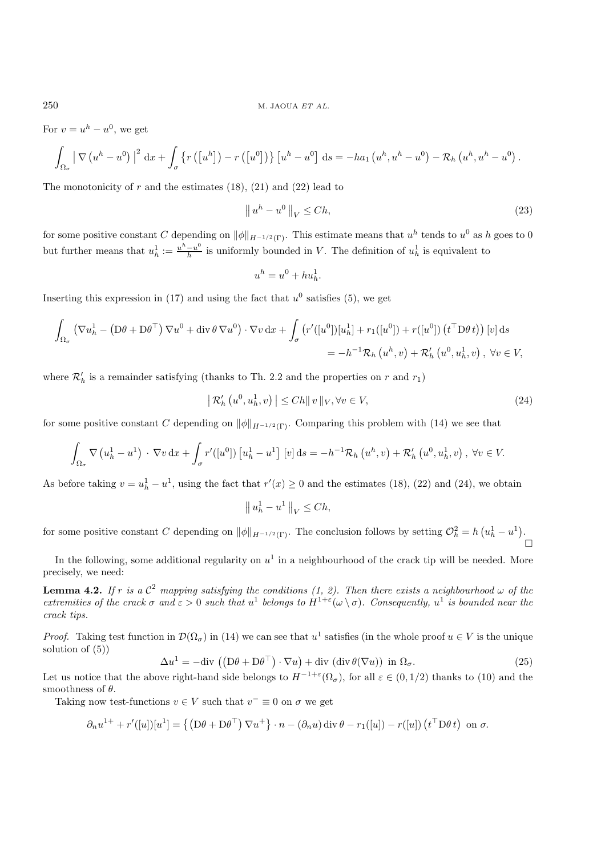For  $v = u^h - u^0$ , we get

$$
\int_{\Omega_{\sigma}}\left|\nabla\left(u^{h}-u^{0}\right)\right|^{2} dx + \int_{\sigma}\left\{ r\left(\left[u^{h}\right]\right) - r\left(\left[u^{0}\right]\right)\right\} \left[u^{h}-u^{0}\right] ds = -ha_{1}\left(u^{h}, u^{h}-u^{0}\right) - \mathcal{R}_{h}\left(u^{h}, u^{h}-u^{0}\right).
$$

The monotonicity of r and the estimates  $(18)$ ,  $(21)$  and  $(22)$  lead to

$$
\|u^h - u^0\|_V \le Ch,\tag{23}
$$

for some positive constant C depending on  $\|\phi\|_{H^{-1/2}(\Gamma)}$ . This estimate means that  $u^h$  tends to  $u^0$  as h goes to 0 but further means that  $u_h^1 := \frac{u^h - u^0}{h}$  is uniformly bounded in V. The definition of  $u_h^1$  is equivalent to

$$
u^h = u^0 + hu_h^1.
$$

Inserting this expression in (17) and using the fact that  $u^0$  satisfies (5), we get

$$
\int_{\Omega_{\sigma}} \left( \nabla u_h^1 - \left( \mathbf{D}\theta + \mathbf{D}\theta^{\top} \right) \nabla u^0 + \mathrm{div} \, \theta \, \nabla u^0 \right) \cdot \nabla v \, \mathrm{d}x + \int_{\sigma} \left( r'([u^0])[u_h^1] + r_1([u^0]) + r([u^0]) \left( t^{\top} \mathbf{D}\theta \, t \right) \right) [v] \, \mathrm{d}s
$$
\n
$$
= -h^{-1} \mathcal{R}_h \left( u^h, v \right) + \mathcal{R}'_h \left( u^0, u_h^1, v \right), \ \forall v \in V,
$$

where  $\mathcal{R}'_h$  is a remainder satisfying (thanks to Th. 2.2 and the properties on r and  $r_1$ )

$$
\left| \mathcal{R}'_h \left( u^0, u^1_h, v \right) \right| \le C h \| v \|_V, \forall v \in V,
$$
\n
$$
(24)
$$

for some positive constant C depending on  $\|\phi\|_{H^{-1/2}(\Gamma)}$ . Comparing this problem with (14) we see that

$$
\int_{\Omega_{\sigma}} \nabla \left( u_h^1 - u^1 \right) \cdot \nabla v \, dx + \int_{\sigma} r'([u^0]) \left[ u_h^1 - u^1 \right] \left[ v \right] ds = -h^{-1} \mathcal{R}_h \left( u^h, v \right) + \mathcal{R}'_h \left( u^0, u_h^1, v \right), \ \forall v \in V.
$$

As before taking  $v = u_h^1 - u^1$ , using the fact that  $r'(x) \ge 0$  and the estimates (18), (22) and (24), we obtain

$$
\left\|u_h^1 - u^1\right\|_V \le Ch,
$$

for some positive constant C depending on  $\|\phi\|_{H^{-1/2}(\Gamma)}$ . The conclusion follows by setting  $\mathcal{O}_h^2 = h\left(u_h^1 - u^1\right)$ .  $\Box$ 

In the following, some additional regularity on  $u^1$  in a neighbourhood of the crack tip will be needed. More precisely, we need:

**Lemma 4.2.** *If* r *is* a  $C^2$  *mapping satisfying the conditions (1, 2). Then there exists a neighbourhood*  $\omega$  *of the extremities of the crack*  $\sigma$  *and*  $\varepsilon > 0$  *such that*  $u^1$  *belongs to*  $H^{1+\varepsilon}(\omega \setminus \sigma)$ *. Consequently,*  $u^1$  *is bounded near the crack tips.*

*Proof.* Taking test function in  $\mathcal{D}(\Omega_{\sigma})$  in (14) we can see that  $u^1$  satisfies (in the whole proof  $u \in V$  is the unique solution of  $(5)$ )

$$
\Delta u^1 = -\text{div}\left( \left( \mathbf{D}\theta + \mathbf{D}\theta^\top \right) \cdot \nabla u \right) + \text{div}\left( \text{div}\,\theta(\nabla u) \right) \text{ in } \Omega_\sigma. \tag{25}
$$

Let us notice that the above right-hand side belongs to  $H^{-1+\varepsilon}(\Omega_{\sigma})$ , for all  $\varepsilon \in (0,1/2)$  thanks to (10) and the smoothness of  $\theta$ .

Taking now test-functions  $v \in V$  such that  $v^- \equiv 0$  on  $\sigma$  we get

$$
\partial_n u^{1+} + r'([u])[u^1] = \left\{ \left( \mathbf{D}\theta + \mathbf{D}\theta^{\top} \right) \nabla u^+ \right\} \cdot n - \left( \partial_n u \right) \operatorname{div} \theta - r_1([u]) - r([u]) \left( t^{\top} \mathbf{D}\theta t \right) \text{ on } \sigma.
$$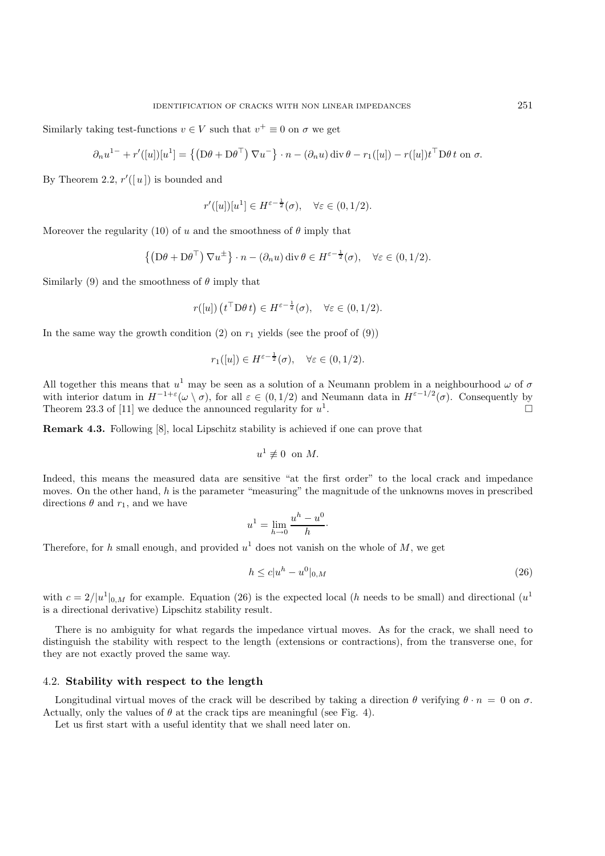Similarly taking test-functions  $v \in V$  such that  $v^+ \equiv 0$  on  $\sigma$  we get

$$
\partial_n u^{1-} + r'([u])[u^1] = \{ (D\theta + D\theta^{\top}) \nabla u^-\} \cdot n - (\partial_n u) \operatorname{div} \theta - r_1([u]) - r([u]) t^{\top} D\theta t \text{ on } \sigma.
$$

By Theorem 2.2,  $r'([u])$  is bounded and

$$
r'([u])[u^1]\in H^{\varepsilon-\frac{1}{2}}(\sigma),\quad \forall \varepsilon\in(0,1/2).
$$

Moreover the regularity (10) of u and the smoothness of  $\theta$  imply that

$$
\{(\mathbf{D}\theta + \mathbf{D}\theta^{\top}) \nabla u^{\pm}\}\cdot n - (\partial_n u) \operatorname{div} \theta \in H^{\varepsilon-\frac{1}{2}}(\sigma), \quad \forall \varepsilon \in (0,1/2).
$$

Similarly (9) and the smoothness of  $\theta$  imply that

$$
r([u]) (t^{\top} \mathcal{D} \theta t) \in H^{\varepsilon - \frac{1}{2}}(\sigma), \quad \forall \varepsilon \in (0, 1/2).
$$

In the same way the growth condition (2) on  $r_1$  yields (see the proof of (9))

$$
r_1([u]) \in H^{\varepsilon-\frac{1}{2}}(\sigma), \quad \forall \varepsilon \in (0, 1/2).
$$

All together this means that  $u^1$  may be seen as a solution of a Neumann problem in a neighbourhood  $\omega$  of  $\sigma$ with interior datum in  $H^{-1+\varepsilon}(\omega \setminus \sigma)$ , for all  $\varepsilon \in (0,1/2)$  and Neumann data in  $H^{\varepsilon-1/2}(\sigma)$ . Consequently by Theorem 23.3 of [11] we deduce the announced regularity for  $u^1$ Theorem 23.3 of [11] we deduce the announced regularity for  $u^1$ .

**Remark 4.3.** Following [8], local Lipschitz stability is achieved if one can prove that

$$
u^1 \not\equiv 0 \ \ \text{on} \ M.
$$

Indeed, this means the measured data are sensitive "at the first order" to the local crack and impedance moves. On the other hand, h is the parameter "measuring" the magnitude of the unknowns moves in prescribed directions  $\theta$  and  $r_1$ , and we have

$$
u^1 = \lim_{h \to 0} \frac{u^h - u^0}{h}.
$$

Therefore, for h small enough, and provided  $u^1$  does not vanish on the whole of M, we get

$$
h \le c|u^h - u^0|_{0,M} \tag{26}
$$

with  $c = 2/|u^1|_{0,M}$  for example. Equation (26) is the expected local (h needs to be small) and directional ( $u^1$ is a directional derivative) Lipschitz stability result.

There is no ambiguity for what regards the impedance virtual moves. As for the crack, we shall need to distinguish the stability with respect to the length (extensions or contractions), from the transverse one, for they are not exactly proved the same way.

#### 4.2. **Stability with respect to the length**

Longitudinal virtual moves of the crack will be described by taking a direction  $\theta$  verifying  $\theta \cdot n = 0$  on  $\sigma$ . Actually, only the values of  $\theta$  at the crack tips are meaningful (see Fig. 4).

Let us first start with a useful identity that we shall need later on.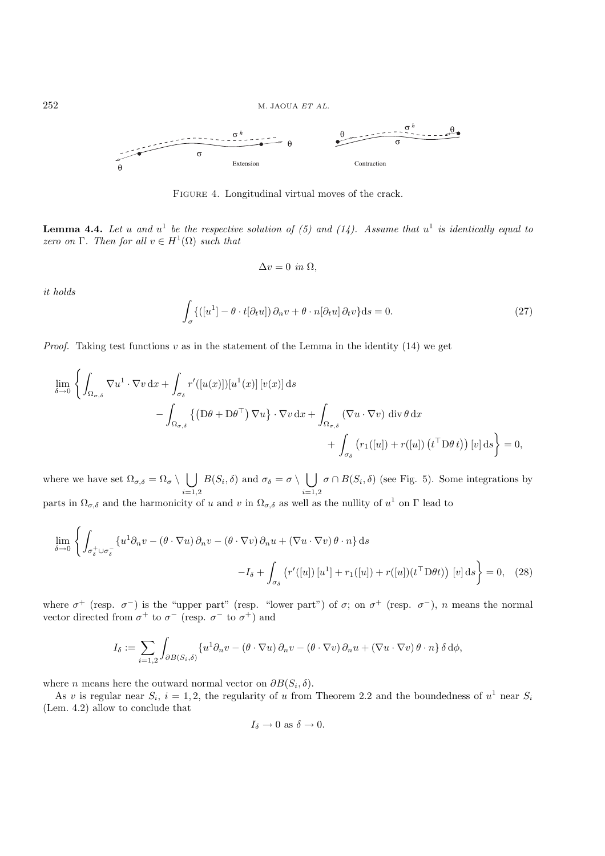

FIGURE 4. Longitudinal virtual moves of the crack.

**Lemma 4.4.** Let u and  $u^1$  be the respective solution of (5) and (14). Assume that  $u^1$  is identically equal to *zero on* Γ. Then for all  $v \in H^1(\Omega)$  *such that* 

$$
\Delta v = 0 \text{ in } \Omega,
$$

*it holds*

$$
\int_{\sigma} \{([u^1] - \theta \cdot t[\partial_t u]) \partial_n v + \theta \cdot n[\partial_t u] \partial_t v\} ds = 0.
$$
\n(27)

*Proof.* Taking test functions  $v$  as in the statement of the Lemma in the identity  $(14)$  we get

$$
\lim_{\delta \to 0} \left\{ \int_{\Omega_{\sigma,\delta}} \nabla u^1 \cdot \nabla v \, dx + \int_{\sigma_{\delta}} r'([u(x)]) [u^1(x)] [v(x)] \, ds \right.\n- \int_{\Omega_{\sigma,\delta}} \left\{ (D\theta + D\theta^\top) \, \nabla u \right\} \cdot \nabla v \, dx + \int_{\Omega_{\sigma,\delta}} (\nabla u \cdot \nabla v) \, \text{div } \theta \, dx \n+ \int_{\sigma_{\delta}} (r_1([u]) + r([u]) (t^\top D\theta t)) [v] \, ds \right\} = 0,
$$

where we have set  $\Omega_{\sigma,\delta} = \Omega_{\sigma} \setminus \bigcup_{\sigma,\delta}$  $^{i=1,2}$  $B(S_i, \delta)$  and  $\sigma_{\delta} = \sigma \setminus \bigcup_{i=1}^{\infty}$  $^{i=1,2}_{11}$  $\sigma \cap B(S_i, \delta)$  (see Fig. 5). Some integrations by parts in  $\Omega_{\sigma,\delta}$  and the harmonicity of u and v in  $\Omega_{\sigma,\delta}$  as well as the nullity of  $u^1$  on  $\Gamma$  lead to

$$
\lim_{\delta \to 0} \left\{ \int_{\sigma_{\delta}^+ \cup \sigma_{\delta}^-} \left\{ u^1 \partial_n v - (\theta \cdot \nabla u) \partial_n v - (\theta \cdot \nabla v) \partial_n u + (\nabla u \cdot \nabla v) \theta \cdot n \right\} ds - I_{\delta} + \int_{\sigma_{\delta}} \left( r'([u]) \left[ u^1 \right] + r_1([u]) + r([u]) (t^{\top} \mathcal{D} \theta t) \right) [v] ds \right\} = 0, \quad (28)
$$

where  $\sigma^+$  (resp.  $\sigma^-$ ) is the "upper part" (resp. "lower part") of  $\sigma$ ; on  $\sigma^+$  (resp.  $\sigma^-$ ), n means the normal vector directed from  $\sigma^+$  to  $\sigma^-$  (resp.  $\sigma^-$  to  $\sigma^+$ ) and

$$
I_{\delta} := \sum_{i=1,2} \int_{\partial B(S_i,\delta)} \{u^1 \partial_n v - (\theta \cdot \nabla u) \partial_n v - (\theta \cdot \nabla v) \partial_n u + (\nabla u \cdot \nabla v) \theta \cdot n\} \delta d\phi,
$$

where *n* means here the outward normal vector on  $\partial B(S_i, \delta)$ .

As v is regular near  $S_i$ ,  $i = 1, 2$ , the regularity of u from Theorem 2.2 and the boundedness of  $u^1$  near  $S_i$ (Lem. 4.2) allow to conclude that

$$
I_{\delta} \to 0
$$
 as  $\delta \to 0$ .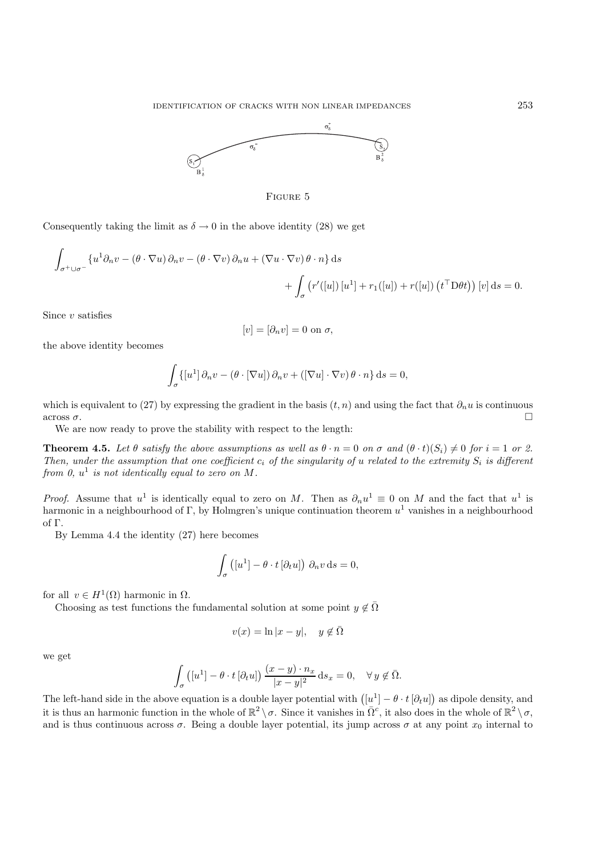



Consequently taking the limit as  $\delta \to 0$  in the above identity (28) we get

$$
\int_{\sigma^+ \cup \sigma^-} \{u^1 \partial_n v - (\theta \cdot \nabla u) \partial_n v - (\theta \cdot \nabla v) \partial_n u + (\nabla u \cdot \nabla v) \theta \cdot n\} ds + \int_{\sigma} (r'([u]) [u^1] + r_1([u]) + r([u]) (t^{\top} D \theta t) ) [v] ds = 0.
$$

Since  $v$  satisfies

$$
[v] = [\partial_n v] = 0 \text{ on } \sigma,
$$

the above identity becomes

$$
\int_{\sigma} \{ [u^1] \, \partial_n v - (\theta \cdot [\nabla u]) \, \partial_n v + ([\nabla u] \cdot \nabla v) \, \theta \cdot n \} \, \mathrm{d}s = 0,
$$

which is equivalent to (27) by expressing the gradient in the basis  $(t, n)$  and using the fact that  $\partial_n u$  is continuous across  $\sigma$ . across  $\sigma$ .

We are now ready to prove the stability with respect to the length:

**Theorem 4.5.** Let  $\theta$  satisfy the above assumptions as well as  $\theta \cdot n = 0$  on  $\sigma$  and  $(\theta \cdot t)(S_i) \neq 0$  for  $i = 1$  or 2. *Then, under the assumption that one coefficient*  $c_i$  *of the singularity of u related to the extremity*  $S_i$  *is different from 0,*  $u^1$  *is not identically equal to zero on*  $M$ *.* 

*Proof.* Assume that  $u^1$  is identically equal to zero on M. Then as  $\partial_n u^1 \equiv 0$  on M and the fact that  $u^1$  is harmonic in a neighbourhood of Γ, by Holmgren's unique continuation theorem  $u^1$  vanishes in a neighbourhood of Γ.

By Lemma 4.4 the identity (27) here becomes

$$
\int_{\sigma} ([u^1] - \theta \cdot t [\partial_t u]) \partial_n v \, ds = 0,
$$

for all  $v \in H^1(\Omega)$  harmonic in  $\Omega$ .

Choosing as test functions the fundamental solution at some point  $y \notin \overline{\Omega}$ 

$$
v(x) = \ln|x - y|, \quad y \notin \bar{\Omega}
$$

we get

$$
\int_{\sigma} \left( [u^1] - \theta \cdot t [\partial_t u] \right) \frac{(x - y) \cdot n_x}{|x - y|^2} \, \mathrm{d} s_x = 0, \quad \forall \, y \notin \overline{\Omega}.
$$

The left-hand side in the above equation is a double layer potential with  $([u^1] - \theta \cdot t [\partial_t u])$  as dipole density, and it is thus an harmonic function in the whole of  $\mathbb{R}^2 \setminus \sigma$ . Since it vanishes in  $\bar{\Omega}^c$ , it also does in the whole of  $\mathbb{R}^2 \setminus \sigma$ , and is thus continuous across  $\sigma$ . Being a double layer potential, its jump across  $\sigma$  at any point  $x_0$  internal to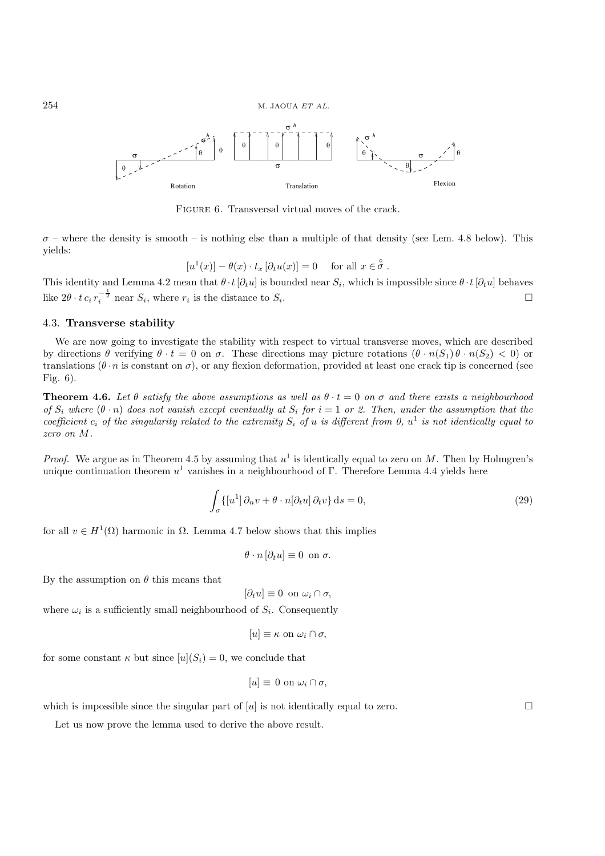

FIGURE 6. Transversal virtual moves of the crack.

 $\sigma$  – where the density is smooth – is nothing else than a multiple of that density (see Lem. 4.8 below). This yields:

$$
[u1(x)] - \theta(x) \cdot t_x [\partial_t u(x)] = 0 \quad \text{for all } x \in \overset{\circ}{\sigma}.
$$

This identity and Lemma 4.2 mean that  $\theta \cdot t [\partial_t u]$  is bounded near  $S_i$ , which is impossible since  $\theta \cdot t [\partial_t u]$  behaves like  $2\theta \cdot t c_i r^{-\frac{1}{2}}$  near  $S_i$ , where  $r_i$  is the distance to  $S_i$ . like  $2\theta \cdot t c_i r_i^{-\frac{1}{2}}$  near  $S_i$ , where  $r_i$  is the distance to  $S_i$ .

# 4.3. **Transverse stability**

We are now going to investigate the stability with respect to virtual transverse moves, which are described by directions  $\theta$  verifying  $\theta \cdot t = 0$  on  $\sigma$ . These directions may picture rotations  $(\theta \cdot n(S_1) \theta \cdot n(S_2) < 0)$  or translations  $(\theta \cdot n)$  is constant on  $\sigma$ ), or any flexion deformation, provided at least one crack tip is concerned (see Fig. 6).

**Theorem 4.6.** Let  $\theta$  *satisfy the above assumptions as well as*  $\theta \cdot t = 0$  *on*  $\sigma$  *and there exists a neighbourhood of*  $S_i$  where  $(\theta \cdot n)$  does not vanish except eventually at  $S_i$  for  $i = 1$  or 2. Then, under the assumption that the *coefficient*  $c_i$  *of the singularity related to the extremity*  $S_i$  *of* u *is different from* 0,  $u^1$  *is not identically equal to zero on* M*.*

*Proof.* We argue as in Theorem 4.5 by assuming that  $u^1$  is identically equal to zero on M. Then by Holmgren's unique continuation theorem  $u^1$  vanishes in a neighbourhood of Γ. Therefore Lemma 4.4 yields here

$$
\int_{\sigma} \{ [u^1] \partial_n v + \theta \cdot n [\partial_t u] \partial_t v \} ds = 0,
$$
\n(29)

for all  $v \in H^1(\Omega)$  harmonic in  $\Omega$ . Lemma 4.7 below shows that this implies

$$
\theta \cdot n [\partial_t u] \equiv 0 \text{ on } \sigma.
$$

By the assumption on  $\theta$  this means that

$$
[\partial_t u] \equiv 0 \text{ on } \omega_i \cap \sigma,
$$

where  $\omega_i$  is a sufficiently small neighbourhood of  $S_i$ . Consequently

$$
[u] \equiv \kappa \text{ on } \omega_i \cap \sigma,
$$

for some constant  $\kappa$  but since  $[u](S_i) = 0$ , we conclude that

$$
[u] \equiv 0 \text{ on } \omega_i \cap \sigma,
$$

which is impossible since the singular part of  $[u]$  is not identically equal to zero.

Let us now prove the lemma used to derive the above result.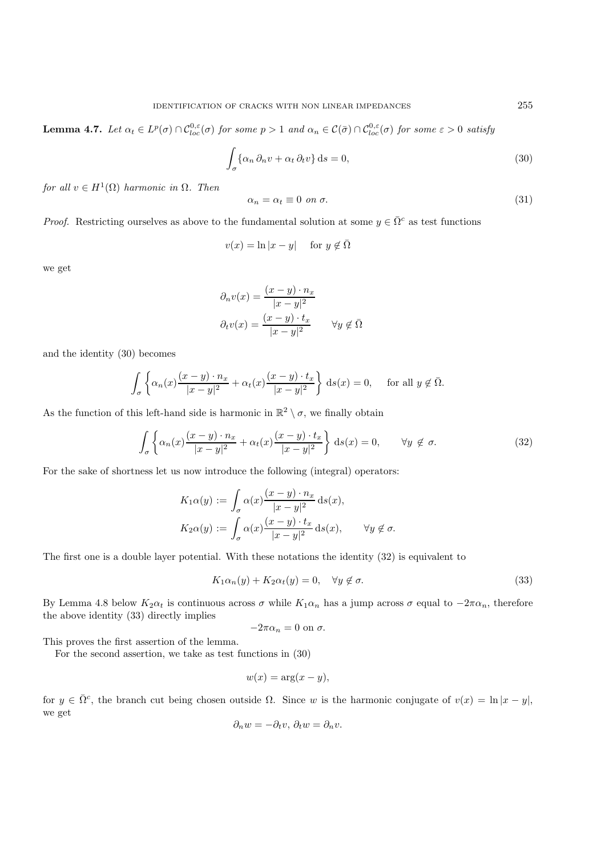**Lemma 4.7.** *Let*  $\alpha_t \in L^p(\sigma) \cap C_{loc}^{0,\varepsilon}(\sigma)$  *for some*  $p > 1$  *and*  $\alpha_n \in C(\bar{\sigma}) \cap C_{loc}^{0,\varepsilon}(\sigma)$  *for some*  $\varepsilon > 0$  *satisfy* 

$$
\int_{\sigma} {\alpha_n \partial_n v + \alpha_t \partial_t v} ds = 0,
$$
\n(30)

*for all*  $v \in H^1(\Omega)$  *harmonic in*  $\Omega$ *. Then* 

$$
\alpha_n = \alpha_t \equiv 0 \text{ on } \sigma. \tag{31}
$$

*Proof.* Restricting ourselves as above to the fundamental solution at some  $y \in \overline{\Omega}^c$  as test functions

$$
v(x) = \ln|x - y| \quad \text{ for } y \notin \bar{\Omega}
$$

we get

$$
\partial_n v(x) = \frac{(x-y) \cdot n_x}{|x-y|^2}
$$

$$
\partial_t v(x) = \frac{(x-y) \cdot t_x}{|x-y|^2} \qquad \forall y \notin \overline{\Omega}
$$

and the identity (30) becomes

$$
\int_{\sigma} \left\{ \alpha_n(x) \frac{(x-y) \cdot n_x}{|x-y|^2} + \alpha_t(x) \frac{(x-y) \cdot t_x}{|x-y|^2} \right\} ds(x) = 0, \quad \text{for all } y \notin \overline{\Omega}.
$$

As the function of this left-hand side is harmonic in  $\mathbb{R}^2 \setminus \sigma$ , we finally obtain

$$
\int_{\sigma} \left\{ \alpha_n(x) \frac{(x-y) \cdot n_x}{|x-y|^2} + \alpha_t(x) \frac{(x-y) \cdot t_x}{|x-y|^2} \right\} ds(x) = 0, \qquad \forall y \notin \sigma.
$$
\n(32)

For the sake of shortness let us now introduce the following (integral) operators:

$$
K_1 \alpha(y) := \int_{\sigma} \alpha(x) \frac{(x - y) \cdot n_x}{|x - y|^2} \, ds(x),
$$
  
\n
$$
K_2 \alpha(y) := \int_{\sigma} \alpha(x) \frac{(x - y) \cdot t_x}{|x - y|^2} \, ds(x), \qquad \forall y \notin \sigma.
$$

The first one is a double layer potential. With these notations the identity (32) is equivalent to

$$
K_1 \alpha_n(y) + K_2 \alpha_t(y) = 0, \quad \forall y \notin \sigma.
$$
\n(33)

By Lemma 4.8 below  $K_2\alpha_t$  is continuous across  $\sigma$  while  $K_1\alpha_n$  has a jump across  $\sigma$  equal to  $-2\pi\alpha_n$ , therefore the above identity (33) directly implies

$$
-2\pi\alpha_n=0 \text{ on } \sigma.
$$

This proves the first assertion of the lemma.

For the second assertion, we take as test functions in (30)

$$
w(x) = \arg(x - y),
$$

for  $y \in \overline{\Omega}^c$ , the branch cut being chosen outside  $\Omega$ . Since w is the harmonic conjugate of  $v(x) = \ln|x - y|$ , we get

$$
\partial_n w = -\partial_t v, \, \partial_t w = \partial_n v.
$$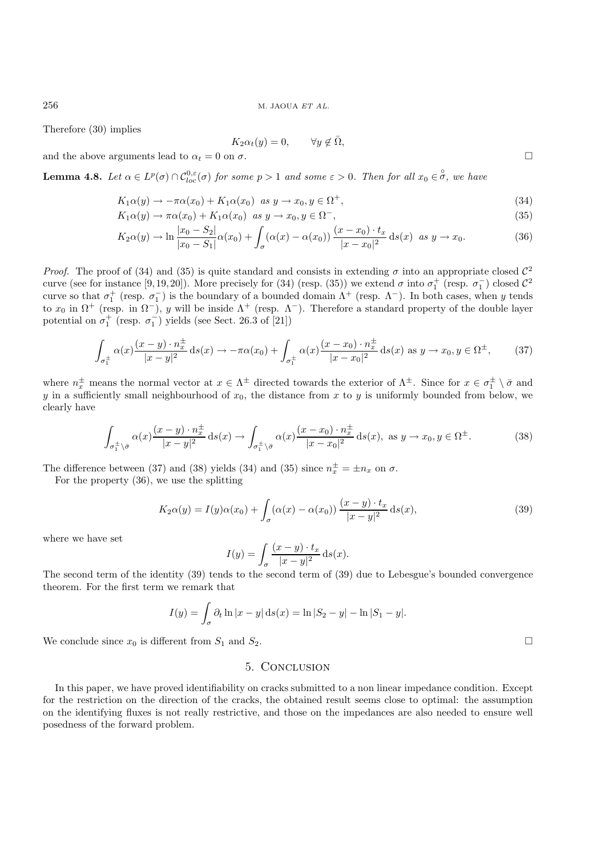Therefore (30) implies

$$
K_2 \alpha_t(y) = 0, \qquad \forall y \notin \bar{\Omega},
$$

and the above arguments lead to  $\alpha_t = 0$  on  $\sigma$ .

**Lemma 4.8.** *Let*  $\alpha \in L^p(\sigma) \cap C_{loc}^{0,\epsilon}(\sigma)$  *for some*  $p > 1$  *and some*  $\epsilon > 0$ *. Then for all*  $x_0 \in \overset{\circ}{\sigma}$ *, we have* 

$$
K_1\alpha(y) \to -\pi\alpha(x_0) + K_1\alpha(x_0) \quad \text{as } y \to x_0, y \in \Omega^+, \tag{34}
$$

$$
K_1\alpha(y) \to \pi\alpha(x_0) + K_1\alpha(x_0) \quad \text{as } y \to x_0, y \in \Omega^-,
$$
\n
$$
(35)
$$

$$
K_2\alpha(y) \to \ln\frac{|x_0 - S_2|}{|x_0 - S_1|}\alpha(x_0) + \int_{\sigma} (\alpha(x) - \alpha(x_0)) \frac{(x - x_0) \cdot t_x}{|x - x_0|^2} ds(x) \text{ as } y \to x_0.
$$
 (36)

*Proof.* The proof of (34) and (35) is quite standard and consists in extending  $\sigma$  into an appropriate closed  $\mathcal{C}^2$ curve (see for instance [9,19,20]). More precisely for (34) (resp. (35)) we extend  $\sigma$  into  $\sigma_1^+$  (resp.  $\sigma_1^-$ ) closed  $\mathcal{C}^2$ curve so that  $\sigma_1^+$  (resp.  $\sigma_1^-$ ) is the boundary of a bounded domain  $\Lambda^+$  (resp.  $\Lambda^-$ ). In both cases, when y tends to  $x_0$  in  $\Omega^+$  (resp. in  $\Omega^-$ ), y will be inside  $\Lambda^+$  (resp.  $\Lambda^-$ ). Therefore a standard property of the double layer potential on  $\sigma_1^+$  (resp.  $\sigma_1^-$ ) yields (see Sect. 26.3 of [21])

$$
\int_{\sigma_1^{\pm}} \alpha(x) \frac{(x-y) \cdot n_x^{\pm}}{|x-y|^2} ds(x) \to -\pi \alpha(x_0) + \int_{\sigma_1^{\pm}} \alpha(x) \frac{(x-x_0) \cdot n_x^{\pm}}{|x-x_0|^2} ds(x) \text{ as } y \to x_0, y \in \Omega^{\pm}, \qquad (37)
$$

where  $n_{x}^{\pm}$  means the normal vector at  $x \in \Lambda^{\pm}$  directed towards the exterior of  $\Lambda^{\pm}$ . Since for  $x \in \sigma_1^{\pm} \setminus \overline{\sigma}$  and  $y$  in a sufficiently small noishbourhood of  $x_{x}$ , the distance from x to use unifo y in a sufficiently small neighbourhood of  $x_0$ , the distance from x to y is uniformly bounded from below, we clearly have

$$
\int_{\sigma_1^{\pm}\setminus\bar{\sigma}} \alpha(x) \frac{(x-y)\cdot n_x^{\pm}}{|x-y|^2} ds(x) \to \int_{\sigma_1^{\pm}\setminus\bar{\sigma}} \alpha(x) \frac{(x-x_0)\cdot n_x^{\pm}}{|x-x_0|^2} ds(x), \text{ as } y \to x_0, y \in \Omega^{\pm}.
$$
 (38)

The difference between (37) and (38) yields (34) and (35) since  $n_x^{\pm} = \pm n_x$  on  $\sigma$ .<br>For the property (36), we use the splitting

For the property (36), we use the splitting

$$
K_2\alpha(y) = I(y)\alpha(x_0) + \int_{\sigma} (\alpha(x) - \alpha(x_0)) \frac{(x - y) \cdot t_x}{|x - y|^2} ds(x),\tag{39}
$$

where we have set

$$
I(y) = \int_{\sigma} \frac{(x - y) \cdot t_x}{|x - y|^2} \, \mathrm{d}s(x).
$$

The second term of the identity (39) tends to the second term of (39) due to Lebesgue's bounded convergence theorem. For the first term we remark that

$$
I(y) = \int_{\sigma} \partial_t \ln |x - y| \, ds(x) = \ln |S_2 - y| - \ln |S_1 - y|.
$$

We conclude since  $x_0$  is different from  $S_1$  and  $S_2$ .

# 5. Conclusion

In this paper, we have proved identifiability on cracks submitted to a non linear impedance condition. Except for the restriction on the direction of the cracks, the obtained result seems close to optimal: the assumption on the identifying fluxes is not really restrictive, and those on the impedances are also needed to ensure well posedness of the forward problem.